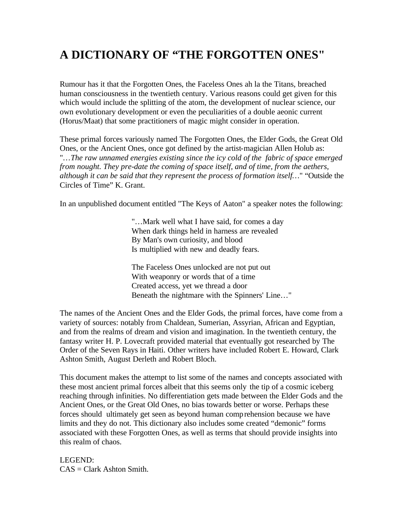## **A DICTIONARY OF "THE FORGOTTEN ONES"**

Rumour has it that the Forgotten Ones, the Faceless Ones ah la the Titans, breached human consciousness in the twentieth century. Various reasons could get given for this which would include the splitting of the atom, the development of nuclear science, our own evolutionary development or even the peculiarities of a double aeonic current (Horus/Maat) that some practitioners of magic might consider in operation.

These primal forces variously named The Forgotten Ones, the Elder Gods, the Great Old Ones, or the Ancient Ones, once got defined by the artist-magician Allen Holub as: "…*The raw unnamed energies existing since the icy cold of the fabric of space emerged from nought. They pre-date the coming of space itself, and of time, from the aethers, although it can be said that they represent the process of formation itself…*" "Outside the Circles of Time" K. Grant.

In an unpublished document entitled "The Keys of Aaton" a speaker notes the following:

"…Mark well what I have said, for comes a day When dark things held in harness are revealed By Man's own curiosity, and blood Is multiplied with new and deadly fears.

The Faceless Ones unlocked are not put out With weaponry or words that of a time Created access, yet we thread a door Beneath the nightmare with the Spinners' Line…"

The names of the Ancient Ones and the Elder Gods, the primal forces, have come from a variety of sources: notably from Chaldean, Sumerian, Assyrian, African and Egyptian, and from the realms of dream and vision and imagination. In the twentieth century, the fantasy writer H. P. Lovecraft provided material that eventually got researched by The Order of the Seven Rays in Haiti. Other writers have included Robert E. Howard, Clark Ashton Smith, August Derleth and Robert Bloch.

This document makes the attempt to list some of the names and concepts associated with these most ancient primal forces albeit that this seems only the tip of a cosmic iceberg reaching through infinities. No differentiation gets made between the Elder Gods and the Ancient Ones, or the Great Old Ones, no bias towards better or worse. Perhaps these forces should ultimately get seen as beyond human comprehension because we have limits and they do not. This dictionary also includes some created "demonic" forms associated with these Forgotten Ones, as well as terms that should provide insights into this realm of chaos.

LEGEND:  $CAS = Clark$  Ashton Smith.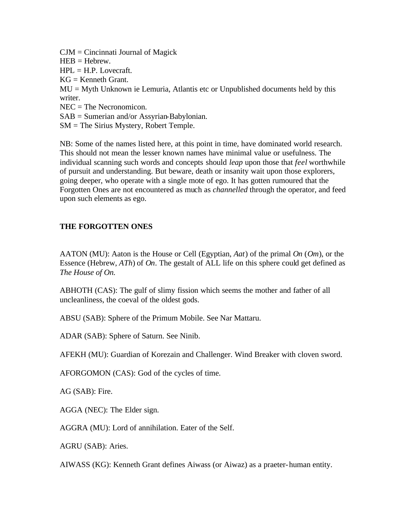CJM = Cincinnati Journal of Magick  $HEB = Hebrew.$  $HPL = H.P.$  Lovecraft.  $KG =$  Kenneth Grant. MU = Myth Unknown ie Lemuria, Atlantis etc or Unpublished documents held by this writer. NEC = The Necronomicon. SAB = Sumerian and/or Assyrian-Babylonian. SM = The Sirius Mystery, Robert Temple.

NB: Some of the names listed here, at this point in time, have dominated world research. This should not mean the lesser known names have minimal value or usefulness. The individual scanning such words and concepts should *leap* upon those that *feel* worthwhile of pursuit and understanding. But beware, death or insanity wait upon those explorers, going deeper, who operate with a single mote of ego. It has gotten rumoured that the Forgotten Ones are not encountered as much as *channelled* through the operator, and feed upon such elements as ego.

## **THE FORGOTTEN ONES**

AATON (MU): Aaton is the House or Cell (Egyptian, *Aat*) of the primal *On* (*Om*), or the Essence (Hebrew, *ATh*) of *On*. The gestalt of ALL life on this sphere could get defined as *The House of On.*

ABHOTH (CAS): The gulf of slimy fission which seems the mother and father of all uncleanliness, the coeval of the oldest gods.

ABSU (SAB): Sphere of the Primum Mobile. See Nar Mattaru.

ADAR (SAB): Sphere of Saturn. See Ninib.

AFEKH (MU): Guardian of Korezain and Challenger. Wind Breaker with cloven sword.

AFORGOMON (CAS): God of the cycles of time.

AG (SAB): Fire.

AGGA (NEC): The Elder sign.

AGGRA (MU): Lord of annihilation. Eater of the Self.

AGRU (SAB): Aries.

AIWASS (KG): Kenneth Grant defines Aiwass (or Aiwaz) as a praeter-human entity.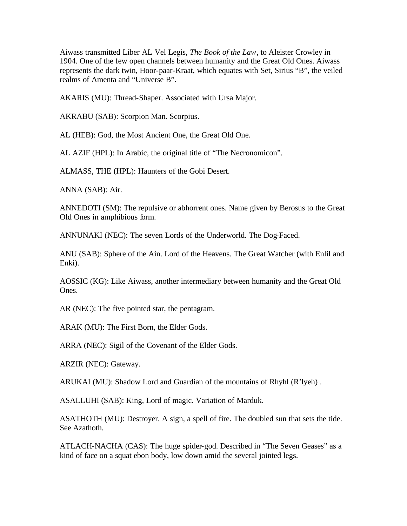Aiwass transmitted Liber AL Vel Legis, *The Book of the Law*, to Aleister Crowley in 1904. One of the few open channels between humanity and the Great Old Ones. Aiwass represents the dark twin, Hoor-paar-Kraat, which equates with Set, Sirius "B", the veiled realms of Amenta and "Universe B".

AKARIS (MU): Thread-Shaper. Associated with Ursa Major.

AKRABU (SAB): Scorpion Man. Scorpius.

AL (HEB): God, the Most Ancient One, the Great Old One.

AL AZIF (HPL): In Arabic, the original title of "The Necronomicon".

ALMASS, THE (HPL): Haunters of the Gobi Desert.

ANNA (SAB): Air.

ANNEDOTI (SM): The repulsive or abhorrent ones. Name given by Berosus to the Great Old Ones in amphibious form.

ANNUNAKI (NEC): The seven Lords of the Underworld. The Dog-Faced.

ANU (SAB): Sphere of the Ain. Lord of the Heavens. The Great Watcher (with Enlil and Enki).

AOSSIC (KG): Like Aiwass, another intermediary between humanity and the Great Old Ones.

AR (NEC): The five pointed star, the pentagram.

ARAK (MU): The First Born, the Elder Gods.

ARRA (NEC): Sigil of the Covenant of the Elder Gods.

ARZIR (NEC): Gateway.

ARUKAI (MU): Shadow Lord and Guardian of the mountains of Rhyhl (R'lyeh) .

ASALLUHI (SAB): King, Lord of magic. Variation of Marduk.

ASATHOTH (MU): Destroyer. A sign, a spell of fire. The doubled sun that sets the tide. See Azathoth.

ATLACH-NACHA (CAS): The huge spider-god. Described in "The Seven Geases" as a kind of face on a squat ebon body, low down amid the several jointed legs.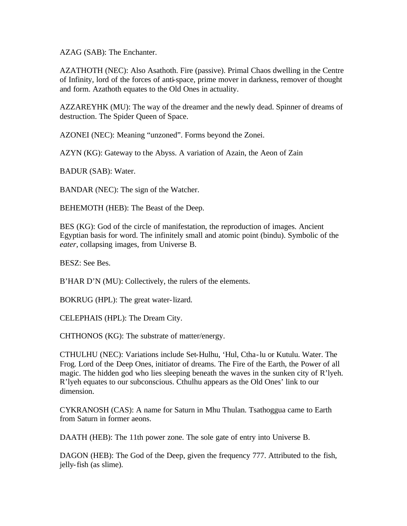AZAG (SAB): The Enchanter.

AZATHOTH (NEC): Also Asathoth. Fire (passive). Primal Chaos dwelling in the Centre of Infinity, lord of the forces of anti-space, prime mover in darkness, remover of thought and form. Azathoth equates to the Old Ones in actuality.

AZZAREYHK (MU): The way of the dreamer and the newly dead. Spinner of dreams of destruction. The Spider Queen of Space.

AZONEI (NEC): Meaning "unzoned". Forms beyond the Zonei.

AZYN (KG): Gateway to the Abyss. A variation of Azain, the Aeon of Zain

BADUR (SAB): Water.

BANDAR (NEC): The sign of the Watcher.

BEHEMOTH (HEB): The Beast of the Deep.

BES (KG): God of the circle of manifestation, the reproduction of images. Ancient Egyptian basis for word. The infinitely small and atomic point (bindu). Symbolic of the *eater,* collapsing images, from Universe B.

BESZ: See Bes.

B'HAR D'N (MU): Collectively, the rulers of the elements.

BOKRUG (HPL): The great water-lizard.

CELEPHAIS (HPL): The Dream City.

CHTHONOS (KG): The substrate of matter/energy.

CTHULHU (NEC): Variations include Set-Hulhu, 'Hul, Ctha-lu or Kutulu. Water. The Frog. Lord of the Deep Ones, initiator of dreams. The Fire of the Earth, the Power of all magic. The hidden god who lies sleeping beneath the waves in the sunken city of R'lyeh. R'lyeh equates to our subconscious. Cthulhu appears as the Old Ones' link to our dimension.

CYKRANOSH (CAS): A name for Saturn in Mhu Thulan. Tsathoggua came to Earth from Saturn in former aeons.

DAATH (HEB): The 11th power zone. The sole gate of entry into Universe B.

DAGON (HEB): The God of the Deep, given the frequency 777. Attributed to the fish, jelly-fish (as slime).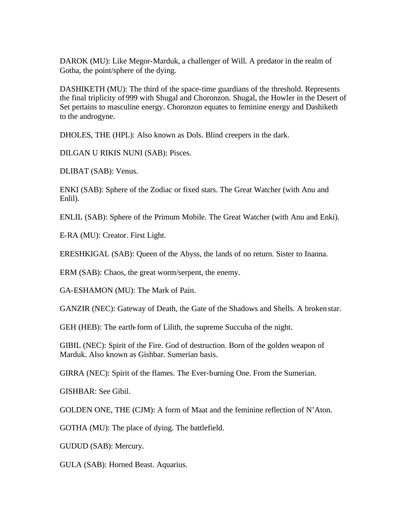DAROK (MU): Like Megor-Marduk, a challenger of Will. A predator in the realm of Gotha, the point/sphere of the dying.

DASHIKETH (MU): The third of the space-time guardians of the threshold. Represents the final triplicity of 999 with Shugal and Choronzon. Shugal, the Howler in the Desert of Set pertains to masculine energy. Choronzon equates to feminine energy and Dashiketh to the androgyne.

DHOLES, THE (HPL): Also known as Dols. Blind creepers in the dark.

DILGAN U RIKIS NUNI (SAB): Pisces.

DLIBAT (SAB): Venus.

ENKI (SAB): Sphere of the Zodiac or fixed stars. The Great Watcher (with Anu and Enlil).

ENLIL (SAB): Sphere of the Primum Mobile. The Great Watcher (with Anu and Enki).

E-RA (MU): Creator. First Light.

ERESHKIGAL (SAB): Queen of the Abyss, the lands of no return. Sister to Inanna.

ERM (SAB): Chaos, the great worm/serpent, the enemy.

GA-ESHAMON (MU): The Mark of Pain.

GANZIR (NEC): Gateway of Death, the Gate of the Shadows and Shells. A broken star.

GEH (HEB): The earth-form of Lilith, the supreme Succuba of the night.

GIBIL (NEC): Spirit of the Fire. God of destruction. Born of the golden weapon of Marduk. Also known as Gishbar. Sumerian basis.

GIRRA (NEC): Spirit of the flames. The Ever-burning One. From the Sumerian.

GISHBAR: See Gibil.

GOLDEN ONE, THE (CJM): A form of Maat and the feminine reflection of N'Aton.

GOTHA (MU): The place of dying. The battlefield.

GUDUD (SAB): Mercury.

GULA (SAB): Horned Beast. Aquarius.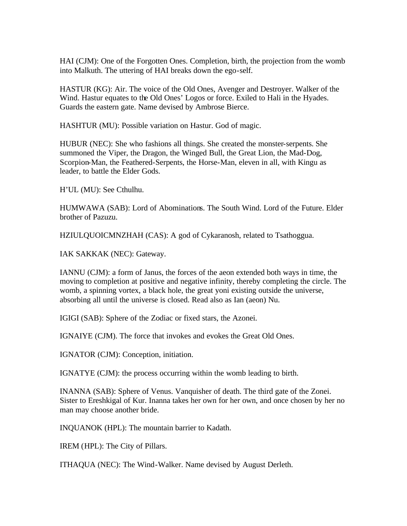HAI (CJM): One of the Forgotten Ones. Completion, birth, the projection from the womb into Malkuth. The uttering of HAI breaks down the ego-self.

HASTUR (KG): Air. The voice of the Old Ones, Avenger and Destroyer. Walker of the Wind. Hastur equates to the Old Ones' Logos or force. Exiled to Hali in the Hyades. Guards the eastern gate. Name devised by Ambrose Bierce.

HASHTUR (MU): Possible variation on Hastur. God of magic.

HUBUR (NEC): She who fashions all things. She created the monster-serpents. She summoned the Viper, the Dragon, the Winged Bull, the Great Lion, the Mad-Dog, Scorpion-Man, the Feathered-Serpents, the Horse-Man, eleven in all, with Kingu as leader, to battle the Elder Gods.

H'UL (MU): See Cthulhu.

HUMWAWA (SAB): Lord of Abominations. The South Wind. Lord of the Future. Elder brother of Pazuzu.

HZIULQUOICMNZHAH (CAS): A god of Cykaranosh, related to Tsathoggua.

IAK SAKKAK (NEC): Gateway.

IANNU (CJM): a form of Janus, the forces of the aeon extended both ways in time, the moving to completion at positive and negative infinity, thereby completing the circle. The womb, a spinning vortex, a black hole, the great yoni existing outside the universe, absorbing all until the universe is closed. Read also as Ian (aeon) Nu.

IGIGI (SAB): Sphere of the Zodiac or fixed stars, the Azonei.

IGNAIYE (CJM). The force that invokes and evokes the Great Old Ones.

IGNATOR (CJM): Conception, initiation.

IGNATYE (CJM): the process occurring within the womb leading to birth.

INANNA (SAB): Sphere of Venus. Vanquisher of death. The third gate of the Zonei. Sister to Ereshkigal of Kur. Inanna takes her own for her own, and once chosen by her no man may choose another bride.

INQUANOK (HPL): The mountain barrier to Kadath.

IREM (HPL): The City of Pillars.

ITHAQUA (NEC): The Wind-Walker. Name devised by August Derleth.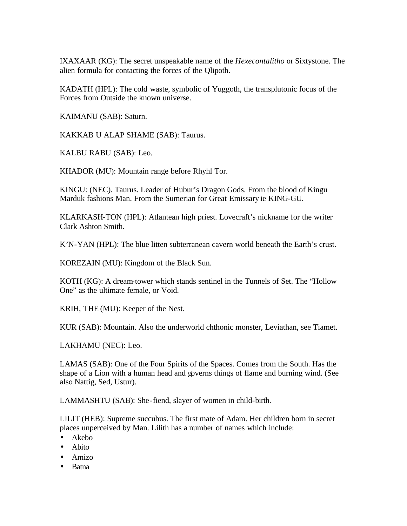IXAXAAR (KG): The secret unspeakable name of the *Hexecontalitho* or Sixtystone. The alien formula for contacting the forces of the Qlipoth.

KADATH (HPL): The cold waste, symbolic of Yuggoth, the transplutonic focus of the Forces from Outside the known universe.

KAIMANU (SAB): Saturn.

KAKKAB U ALAP SHAME (SAB): Taurus.

KALBU RABU (SAB): Leo.

KHADOR (MU): Mountain range before Rhyhl Tor.

KINGU: (NEC). Taurus. Leader of Hubur's Dragon Gods. From the blood of Kingu Marduk fashions Man. From the Sumerian for Great Emissary ie KING-GU.

KLARKASH-TON (HPL): Atlantean high priest. Lovecraft's nickname for the writer Clark Ashton Smith.

K'N-YAN (HPL): The blue litten subterranean cavern world beneath the Earth's crust.

KOREZAIN (MU): Kingdom of the Black Sun.

KOTH (KG): A dream-tower which stands sentinel in the Tunnels of Set. The "Hollow One" as the ultimate female, or Void.

KRIH, THE (MU): Keeper of the Nest.

KUR (SAB): Mountain. Also the underworld chthonic monster, Leviathan, see Tiamet.

LAKHAMU (NEC): Leo.

LAMAS (SAB): One of the Four Spirits of the Spaces. Comes from the South. Has the shape of a Lion with a human head and governs things of flame and burning wind. (See also Nattig, Sed, Ustur).

LAMMASHTU (SAB): She-fiend, slayer of women in child-birth.

LILIT (HEB): Supreme succubus. The first mate of Adam. Her children born in secret places unperceived by Man. Lilith has a number of names which include:

- Akebo
- Abito
- Amizo
- Batna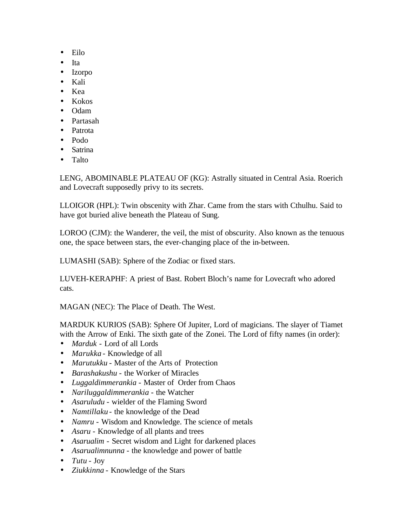- Eilo
- Ita
- Izorpo
- Kali
- Kea
- Kokos
- Odam
- Partasah
- Patrota
- Podo
- Satrina
- Talto

LENG, ABOMINABLE PLATEAU OF (KG): Astrally situated in Central Asia. Roerich and Lovecraft supposedly privy to its secrets.

LLOIGOR (HPL): Twin obscenity with Zhar. Came from the stars with Cthulhu. Said to have got buried alive beneath the Plateau of Sung.

LOROO (CJM): the Wanderer, the veil, the mist of obscurity. Also known as the tenuous one, the space between stars, the ever-changing place of the in-between.

LUMASHI (SAB): Sphere of the Zodiac or fixed stars.

LUVEH-KERAPHF: A priest of Bast. Robert Bloch's name for Lovecraft who adored cats.

MAGAN (NEC): The Place of Death. The West.

MARDUK KURIOS (SAB): Sphere Of Jupiter, Lord of magicians. The slayer of Tiamet with the Arrow of Enki. The sixth gate of the Zonei. The Lord of fifty names (in order):

- *Marduk* Lord of all Lords
- *Marukka* Knowledge of all
- *Marutukku* Master of the Arts of Protection
- *Barashakushu* the Worker of Miracles
- *Luggaldimmerankia* Master of Order from Chaos
- *Nariluggaldimmerankia* the Watcher
- *Asaruludu* wielder of the Flaming Sword
- *Namtillaku* the knowledge of the Dead
- *Namru* Wisdom and Knowledge. The science of metals
- *Asaru* Knowledge of all plants and trees
- *Asarualim* Secret wisdom and Light for darkened places
- *Asarualimnunna* the knowledge and power of battle
- *Tutu* Joy
- *Ziukkinna* Knowledge of the Stars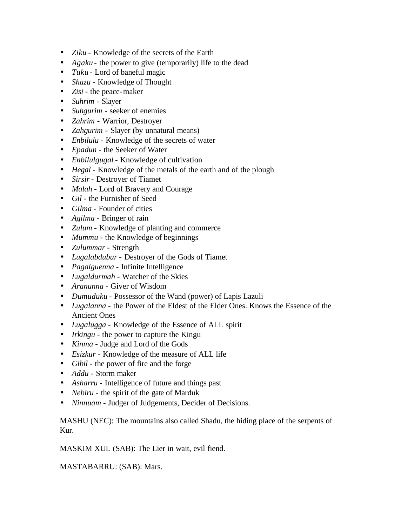- *Ziku* Knowledge of the secrets of the Earth
- *Agaku* the power to give (temporarily) life to the dead
- *Tuku* Lord of baneful magic
- *Shazu* Knowledge of Thought
- *Zisi* the peace-maker
- *Suhrim* Slayer
- *Suhgurim* seeker of enemies
- *Zahrim* Warrior, Destroyer
- *Zahgurim* Slayer (by unnatural means)
- *Enbilulu* Knowledge of the secrets of water
- *Epadun* the Seeker of Water
- *Enbilulgugal* Knowledge of cultivation
- *Hegal* Knowledge of the metals of the earth and of the plough
- *Sirsir* Destroyer of Tiamet
- *Malah* Lord of Bravery and Courage
- *Gil* the Furnisher of Seed
- *Gilma* Founder of cities
- *Agilma* Bringer of rain
- *Zulum* Knowledge of planting and commerce
- *Mummu* the Knowledge of beginnings
- *Zulummar* Strength
- *Lugalabdubur* Destroyer of the Gods of Tiamet
- *Pagalguenna* Infinite Intelligence
- *Lugaldurmah* Watcher of the Skies
- *Aranunna* Giver of Wisdom
- *Dumuduku* Possessor of the Wand (power) of Lapis Lazuli
- *Lugalanna* the Power of the Eldest of the Elder Ones. Knows the Essence of the Ancient Ones
- *Lugalugga* Knowledge of the Essence of ALL spirit
- *Irkingu* the power to capture the Kingu
- *Kinma* Judge and Lord of the Gods
- *Esizkur* Knowledge of the measure of ALL life
- *Gibil* the power of fire and the forge
- *Addu* Storm maker
- *Asharru* Intelligence of future and things past
- *Nebiru* the spirit of the gate of Marduk
- *Ninnuam* Judger of Judgements, Decider of Decisions.

MASHU (NEC): The mountains also called Shadu, the hiding place of the serpents of Kur.

MASKIM XUL (SAB): The Lier in wait, evil fiend.

MASTABARRU: (SAB): Mars.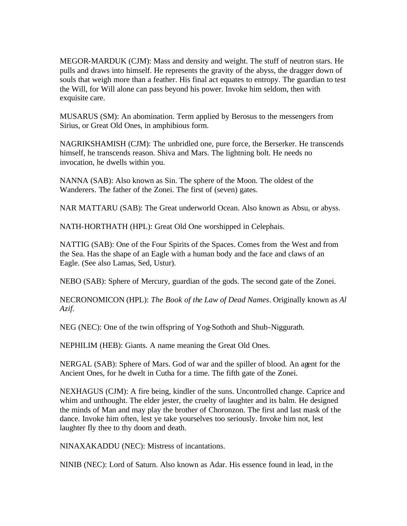MEGOR-MARDUK (CJM): Mass and density and weight. The stuff of neutron stars. He pulls and draws into himself. He represents the gravity of the abyss, the dragger down of souls that weigh more than a feather. His final act equates to entropy. The guardian to test the Will, for Will alone can pass beyond his power. Invoke him seldom, then with exquisite care.

MUSARUS (SM): An abomination. Term applied by Berosus to the messengers from Sirius, or Great Old Ones, in amphibious form.

NAGRIKSHAMISH (CJM): The unbridled one, pure force, the Berserker. He transcends himself, he transcends reason. Shiva and Mars. The lightning bolt. He needs no invocation, he dwells within you.

NANNA (SAB): Also known as Sin. The sphere of the Moon. The oldest of the Wanderers. The father of the Zonei. The first of (seven) gates.

NAR MATTARU (SAB): The Great underworld Ocean. Also known as Absu, or abyss.

NATH-HORTHATH (HPL): Great Old One worshipped in Celephais.

NATTIG (SAB): One of the Four Spirits of the Spaces. Comes from the West and from the Sea. Has the shape of an Eagle with a human body and the face and claws of an Eagle. (See also Lamas, Sed, Ustur).

NEBO (SAB): Sphere of Mercury, guardian of the gods. The second gate of the Zonei.

NECRONOMICON (HPL): *The Book of the Law of Dead Names*. Originally known as *Al Azif.*

NEG (NEC): One of the twin offspring of Yog-Sothoth and Shub-Niggurath.

NEPHILIM (HEB): Giants. A name meaning the Great Old Ones.

NERGAL (SAB): Sphere of Mars. God of war and the spiller of blood. An agent for the Ancient Ones, for he dwelt in Cutha for a time. The fifth gate of the Zonei.

NEXHAGUS (CJM): A fire being, kindler of the suns. Uncontrolled change. Caprice and whim and unthought. The elder jester, the cruelty of laughter and its balm. He designed the minds of Man and may play the brother of Choronzon. The first and last mask of the dance. Invoke him often, lest ye take yourselves too seriously. Invoke him not, lest laughter fly thee to thy doom and death.

NINAXAKADDU (NEC): Mistress of incantations.

NINIB (NEC): Lord of Saturn. Also known as Adar. His essence found in lead, in the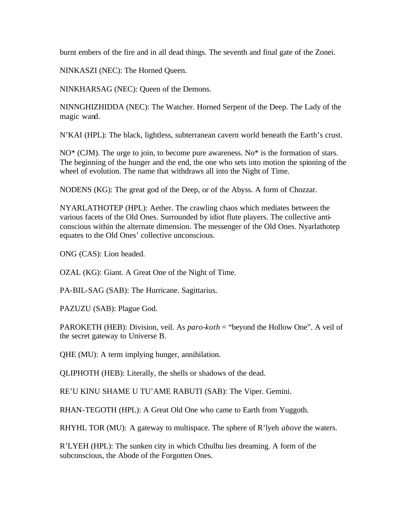burnt embers of the fire and in all dead things. The seventh and final gate of the Zonei.

NINKASZI (NEC): The Horned Queen.

NINKHARSAG (NEC): Queen of the Demons.

NINNGHIZHIDDA (NEC): The Watcher. Horned Serpent of the Deep. The Lady of the magic wand.

N'KAI (HPL): The black, lightless, subterranean cavern world beneath the Earth's crust.

NO\* (CJM). The urge to join, to become pure awareness. No\* is the formation of stars. The beginning of the hunger and the end, the one who sets into motion the spinning of the wheel of evolution. The name that withdraws all into the Night of Time.

NODENS (KG): The great god of the Deep, or of the Abyss. A form of Chozzar.

NYARLATHOTEP (HPL): Aether. The crawling chaos which mediates between the various facets of the Old Ones. Surrounded by idiot flute players. The collective anticonscious within the alternate dimension. The messenger of the Old Ones. Nyarlathotep equates to the Old Ones' collective unconscious.

ONG (CAS): Lion headed.

OZAL (KG): Giant. A Great One of the Night of Time.

PA-BIL-SAG (SAB): The Hurricane. Sagittarius.

PAZUZU (SAB): Plague God.

PAROKETH (HEB): Division, veil. As *paro-koth* = "beyond the Hollow One". A veil of the secret gateway to Universe B.

QHE (MU): A term implying hunger, annihilation.

QLIPHOTH (HEB): Literally, the shells or shadows of the dead.

RE'U KINU SHAME U TU'AME RABUTI (SAB): The Viper. Gemini.

RHAN-TEGOTH (HPL): A Great Old One who came to Earth from Yuggoth.

RHYHL TOR (MU): A gateway to multispace. The sphere of R'lyeh *above* the waters.

R'LYEH (HPL): The sunken city in which Cthulhu lies dreaming. A form of the subconscious, the Abode of the Forgotten Ones.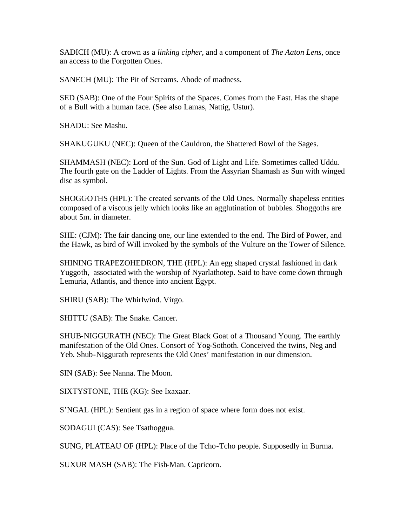SADICH (MU): A crown as a *linking cipher,* and a component of *The Aaton Lens*, once an access to the Forgotten Ones.

SANECH (MU): The Pit of Screams. Abode of madness.

SED (SAB): One of the Four Spirits of the Spaces. Comes from the East. Has the shape of a Bull with a human face. (See also Lamas, Nattig, Ustur).

SHADU: See Mashu.

SHAKUGUKU (NEC): Queen of the Cauldron, the Shattered Bowl of the Sages.

SHAMMASH (NEC): Lord of the Sun. God of Light and Life. Sometimes called Uddu. The fourth gate on the Ladder of Lights. From the Assyrian Shamash as Sun with winged disc as symbol.

SHOGGOTHS (HPL): The created servants of the Old Ones. Normally shapeless entities composed of a viscous jelly which looks like an agglutination of bubbles. Shoggoths are about 5m. in diameter.

SHE: (CJM): The fair dancing one, our line extended to the end. The Bird of Power, and the Hawk, as bird of Will invoked by the symbols of the Vulture on the Tower of Silence.

SHINING TRAPEZOHEDRON, THE (HPL): An egg shaped crystal fashioned in dark Yuggoth, associated with the worship of Nyarlathotep. Said to have come down through Lemuria, Atlantis, and thence into ancient Egypt.

SHIRU (SAB): The Whirlwind. Virgo.

SHITTU (SAB): The Snake. Cancer.

SHUB-NIGGURATH (NEC): The Great Black Goat of a Thousand Young. The earthly manifestation of the Old Ones. Consort of Yog-Sothoth. Conceived the twins, Neg and Yeb. Shub-Niggurath represents the Old Ones' manifestation in our dimension.

SIN (SAB): See Nanna. The Moon.

SIXTYSTONE, THE (KG): See Ixaxaar.

S'NGAL (HPL): Sentient gas in a region of space where form does not exist.

SODAGUI (CAS): See Tsathoggua.

SUNG, PLATEAU OF (HPL): Place of the Tcho-Tcho people. Supposedly in Burma.

SUXUR MASH (SAB): The Fish-Man. Capricorn.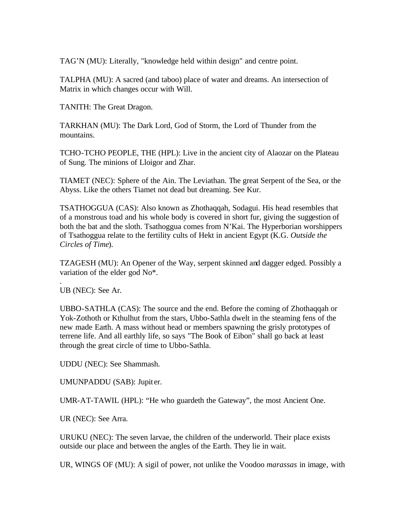TAG'N (MU): Literally, "knowledge held within design" and centre point.

TALPHA (MU): A sacred (and taboo) place of water and dreams. An intersection of Matrix in which changes occur with Will.

TANITH: The Great Dragon.

TARKHAN (MU): The Dark Lord, God of Storm, the Lord of Thunder from the mountains.

TCHO-TCHO PEOPLE, THE (HPL): Live in the ancient city of Alaozar on the Plateau of Sung. The minions of Lloigor and Zhar.

TIAMET (NEC): Sphere of the Ain. The Leviathan. The great Serpent of the Sea, or the Abyss. Like the others Tiamet not dead but dreaming. See Kur.

TSATHOGGUA (CAS): Also known as Zhothaqqah, Sodagui. His head resembles that of a monstrous toad and his whole body is covered in short fur, giving the suggestion of both the bat and the sloth. Tsathoggua comes from N'Kai. The Hyperborian worshippers of Tsathoggua relate to the fertility cults of Hekt in ancient Egypt (K.G. *Outside the Circles of Time*).

TZAGESH (MU): An Opener of the Way, serpent skinned and dagger edged*.* Possibly a variation of the elder god No\*.

. UB (NEC): See Ar.

UBBO-SATHLA (CAS): The source and the end. Before the coming of Zhothaqqah or Yok-Zothoth or Kthulhut from the stars, Ubbo-Sathla dwelt in the steaming fens of the new made Earth. A mass without head or members spawning the grisly prototypes of terrene life. And all earthly life, so says "The Book of Eibon" shall go back at least through the great circle of time to Ubbo-Sathla.

UDDU (NEC): See Shammash.

UMUNPADDU (SAB): Jupit er.

UMR-AT-TAWIL (HPL): "He who guardeth the Gateway", the most Ancient One.

UR (NEC): See Arra.

URUKU (NEC): The seven larvae, the children of the underworld. Their place exists outside our place and between the angles of the Earth. They lie in wait.

UR, WINGS OF (MU): A sigil of power, not unlike the Voodoo *marassas* in image*,* with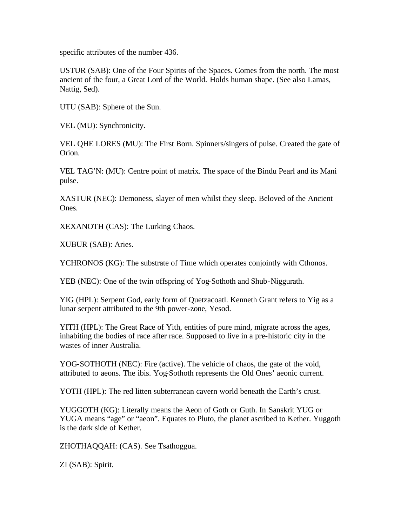specific attributes of the number 436.

USTUR (SAB): One of the Four Spirits of the Spaces. Comes from the north. The most ancient of the four, a Great Lord of the World. Holds human shape. (See also Lamas, Nattig, Sed).

UTU (SAB): Sphere of the Sun.

VEL (MU): Synchronicity.

VEL QHE LORES (MU): The First Born. Spinners/singers of pulse. Created the gate of Orion.

VEL TAG'N: (MU): Centre point of matrix. The space of the Bindu Pearl and its Mani pulse.

XASTUR (NEC): Demoness, slayer of men whilst they sleep. Beloved of the Ancient Ones.

XEXANOTH (CAS): The Lurking Chaos.

XUBUR (SAB): Aries.

YCHRONOS (KG): The substrate of Time which operates conjointly with Cthonos.

YEB (NEC): One of the twin offspring of Yog-Sothoth and Shub-Niggurath.

YIG (HPL): Serpent God, early form of Quetzacoatl. Kenneth Grant refers to Yig as a lunar serpent attributed to the 9th power-zone, Yesod.

YITH (HPL): The Great Race of Yith, entities of pure mind, migrate across the ages, inhabiting the bodies of race after race. Supposed to live in a pre-historic city in the wastes of inner Australia.

YOG-SOTHOTH (NEC): Fire (active). The vehicle of chaos, the gate of the void, attributed to aeons. The ibis. Yog-Sothoth represents the Old Ones' aeonic current.

YOTH (HPL): The red litten subterranean cavern world beneath the Earth's crust.

YUGGOTH (KG): Literally means the Aeon of Goth or Guth. In Sanskrit YUG or YUGA means "age" or "aeon". Equates to Pluto, the planet ascribed to Kether. Yuggoth is the dark side of Kether.

ZHOTHAQQAH: (CAS). See Tsathoggua.

ZI (SAB): Spirit.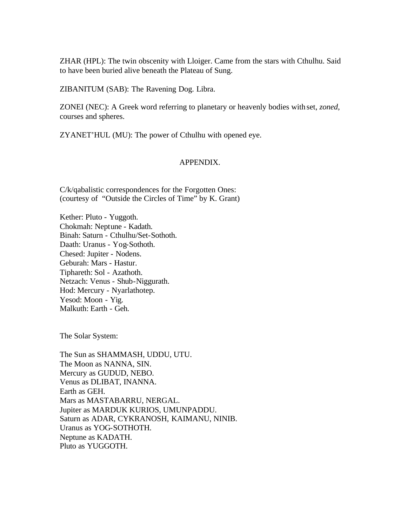ZHAR (HPL): The twin obscenity with Lloiger. Came from the stars with Cthulhu. Said to have been buried alive beneath the Plateau of Sung.

ZIBANITUM (SAB): The Ravening Dog. Libra.

ZONEI (NEC): A Greek word referring to planetary or heavenly bodies with set, *zoned,*  courses and spheres.

ZYANET'HUL (MU): The power of Cthulhu with opened eye.

## APPENDIX.

C/k/qabalistic correspondences for the Forgotten Ones: (courtesy of "Outside the Circles of Time" by K. Grant)

Kether: Pluto - Yuggoth. Chokmah: Neptune - Kadath. Binah: Saturn - Cthulhu/Set-Sothoth. Daath: Uranus - Yog-Sothoth. Chesed: Jupiter - Nodens. Geburah: Mars - Hastur. Tiphareth: Sol - Azathoth. Netzach: Venus - Shub-Niggurath. Hod: Mercury - Nyarlathotep. Yesod: Moon - Yig. Malkuth: Earth - Geh.

The Solar System:

The Sun as SHAMMASH, UDDU, UTU. The Moon as NANNA, SIN. Mercury as GUDUD, NEBO. Venus as DLIBAT, INANNA. Earth as GEH. Mars as MASTABARRU, NERGAL. Jupiter as MARDUK KURIOS, UMUNPADDU. Saturn as ADAR, CYKRANOSH, KAIMANU, NINIB. Uranus as YOG-SOTHOTH. Neptune as KADATH. Pluto as YUGGOTH.